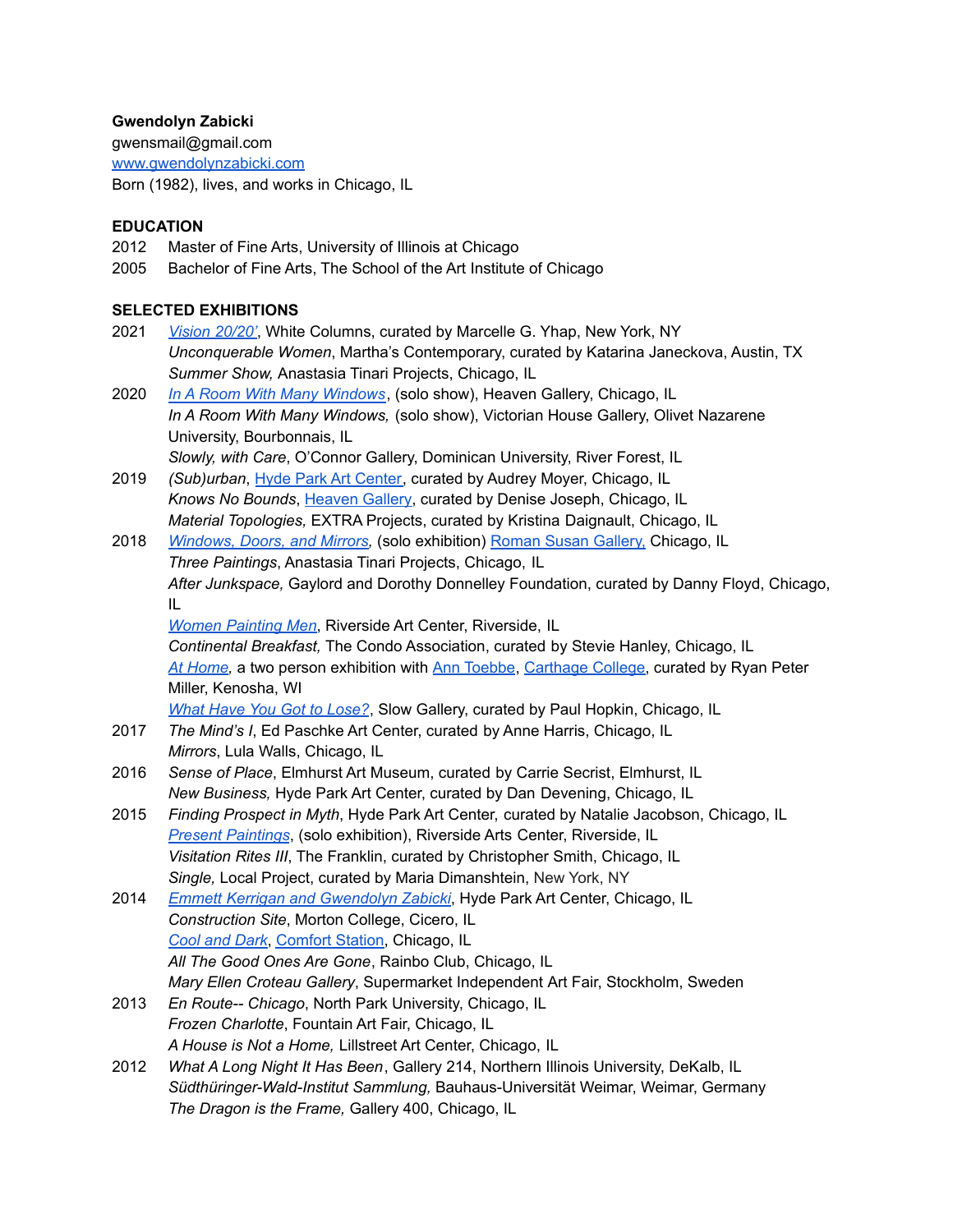# **Gwendolyn Zabicki**

gwensmail@gmail.com [www.gwendolynzabicki.com](http://www.gwendolynzabicki.com)

Born (1982), lives, and works in Chicago, IL

# **EDUCATION**

- 2012 Master of Fine Arts, University of Illinois at Chicago
- 2005 Bachelor of Fine Arts, The School of the Art Institute of Chicago

# **SELECTED EXHIBITIONS**

- 2021 *Vision [20/20'](https://whitecolumns.org/exhibitions/white-columns-online-curated-by-marcelle-g-yhap/)*, White Columns, curated by Marcelle G. Yhap, New York, NY *Unconquerable Women*, Martha's Contemporary, curated by Katarina Janeckova, Austin, TX *Summer Show,* Anastasia Tinari Projects, Chicago, IL
- 2020 *In A Room With Many [Windows](https://www.heavengallery.com/work/room-many-windows)*, (solo show), Heaven Gallery, Chicago, IL *In A Room With Many Windows,* (solo show), Victorian House Gallery, Olivet Nazarene University, Bourbonnais, IL *Slowly, with Care*, O'Connor Gallery, Dominican University, River Forest, IL
- 2019 *(Sub)urban*, Hyde Park Art [Center,](https://www.hydeparkart.org/) curated by Audrey Moyer, Chicago, IL *Knows No Bounds*, [Heaven](https://www.heavengallery.com/) Gallery, curated by Denise Joseph, Chicago, IL *Material Topologies,* EXTRA Projects, curated by Kristina Daignault, Chicago, IL
- 2018 *[Windows,](https://www.dropbox.com/sh/jhxewtfbqk5lbk8/AAB2Iiv_mHzXD_YpuxWPh7Cza?dl=0) Doors, and Mirrors,* (solo exhibition) Roman Susan [Gallery,](http://romansusan.org/windows-doors-and-mirrors) Chicago, IL *Three Paintings*, Anastasia Tinari Projects, Chicago, IL *After Junkspace,* Gaylord and Dorothy Donnelley Foundation, curated by Danny Floyd, Chicago, IL *Women [Painting](http://www.riversideartscenter.com/women-painting-men/) Men*, Riverside Art Center, Riverside, IL

*Continental Breakfast,* The Condo Association, curated by Stevie Hanley, Chicago, IL *At [Home,](https://www.dropbox.com/sh/8mf16eqaxah125n/AAA-v3gTCxd7o31zeFXTQOs1a?dl=0)* a two person exhibition with Ann [Toebbe](https://www.anntoebbe.com/), [Carthage](https://www.carthage.edu/live/news/18394-art-exhibit-at-home-opens-monday) College, curated by Ryan Peter Miller, Kenosha, WI

*What Have You Got to [Lose?](https://www.paul-is-slow.info/blog/2018/1/21/what-have-you-got-to-lose)*, Slow Gallery, curated by Paul Hopkin, Chicago, IL

- 2017 *The Mind's I*, Ed Paschke Art Center, curated by Anne Harris, Chicago, IL *Mirrors*, Lula Walls, Chicago, IL
- 2016 *Sense of Place*, Elmhurst Art Museum, curated by Carrie Secrist, Elmhurst, IL *New Business,* Hyde Park Art Center, curated by Dan Devening, Chicago, IL
- 2015 *Finding Prospect in Myth*, Hyde Park Art Center, curated by Natalie Jacobson, Chicago, IL *Present [Paintings](https://fairwhitefrogman.blogspot.com/2015/07/riverside-arts-center-show-may-8th-to.html)*, (solo exhibition), Riverside Arts Center, Riverside, IL *Visitation Rites III*, The Franklin, curated by Christopher Smith, Chicago, IL *Single,* Local Project, curated by Maria Dimanshtein, New York, NY
- 2014 *Emmett Kerrigan and [Gwendolyn](https://fairwhitefrogman.blogspot.com/2014/10/hyde-park-art-center-show-emmett.html) Zabicki*, Hyde Park Art Center, Chicago, IL *Construction Site*, Morton College, Cicero, IL *Cool and [Dark](https://fairwhitefrogman.blogspot.com/2014/07/comfort-station-show-cool-and-dark.html)*, [Comfort](http://comfort-station.tumblr.com/post/91460646717/cool-and-dark-by-eleanor-ray-greta-waller-and) Station, Chicago, IL *All The Good Ones Are Gone*, Rainbo Club, Chicago, IL *Mary Ellen Croteau Gallery*, Supermarket Independent Art Fair, Stockholm, Sweden
- 2013 *En Route-- Chicago*, North Park University, Chicago, IL *Frozen Charlotte*, Fountain Art Fair, Chicago, IL *A House is Not a Home,* Lillstreet Art Center, Chicago, IL
- 2012 *What A Long Night It Has Been*, Gallery 214, Northern Illinois University, DeKalb, IL *Südthüringer-Wald-Institut Sammlung,* Bauhaus-Universität Weimar, Weimar, Germany *The Dragon is the Frame,* Gallery 400, Chicago, IL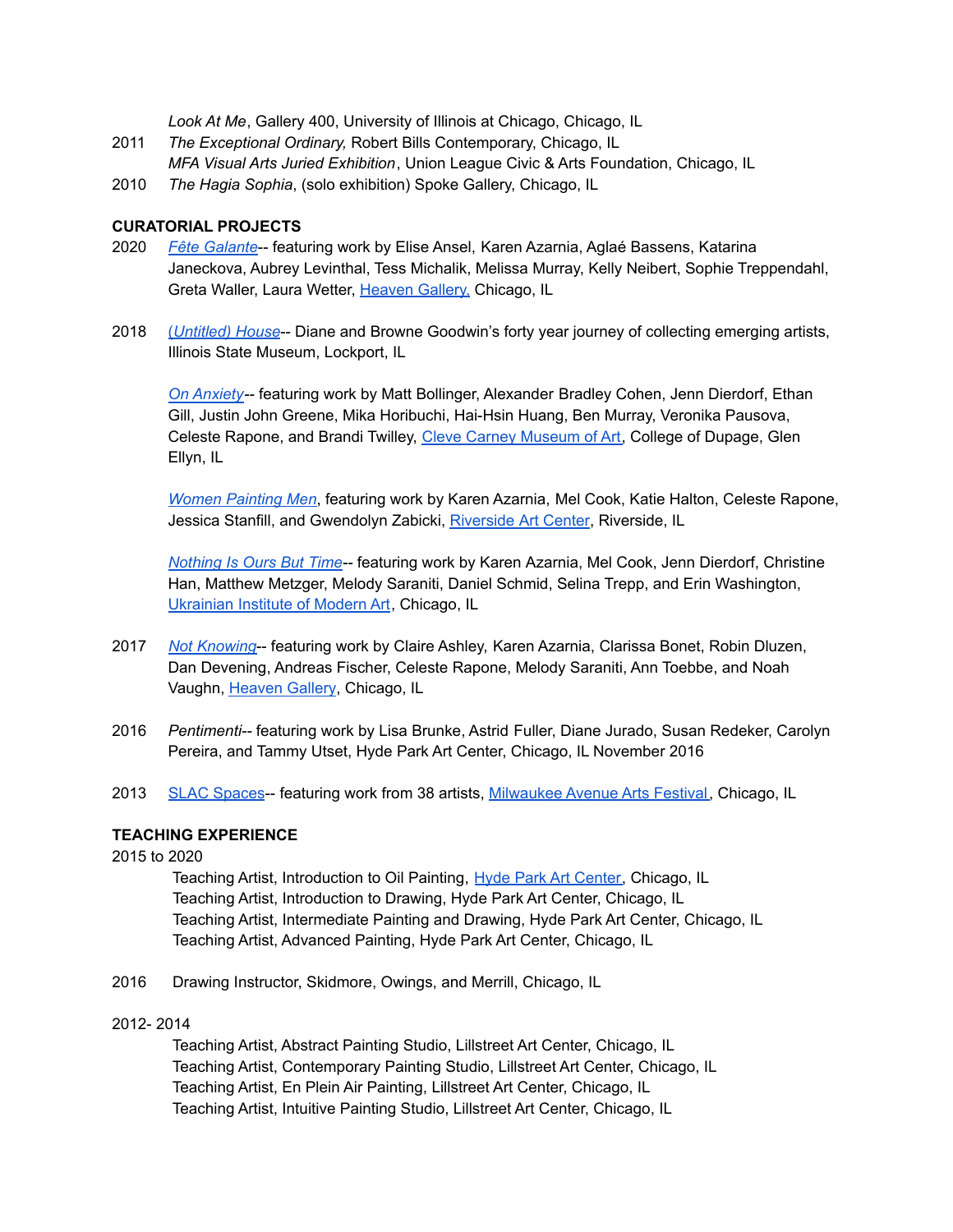*Look At Me*, Gallery 400, University of Illinois at Chicago, Chicago, IL

- 2011 *The Exceptional Ordinary,* Robert Bills Contemporary, Chicago, IL *MFA Visual Arts Juried Exhibition*, Union League Civic & Arts Foundation, Chicago, IL
- 2010 *The Hagia Sophia*, (solo exhibition) Spoke Gallery, Chicago, IL

#### **CURATORIAL PROJECTS**

- 2020 *Fête [Galante](https://www.blurb.com/books/10277678-fete-galante)*-- featuring work by Elise Ansel, Karen Azarnia, Aglaé Bassens, Katarina Janeckova, Aubrey Levinthal, Tess Michalik, Melissa Murray, Kelly Neibert, Sophie Treppendahl, Greta Waller, Laura Wetter, [Heaven](https://www.heavengallery.com/work/fete-galante) Gallery, Chicago, IL
- 2018 (*[Untitled\)](http://www.illinoisstatemuseum.org/content/untitled-house) House*-- Diane and Browne Goodwin's forty year journey of collecting emerging artists, Illinois State Museum, Lockport, IL

*On [Anxiety-](https://www.dropbox.com/sh/8c0pk3emgnar2su/AABeFIphpzWvzYZZNM59vaqSa?dl=0)-* featuring work by Matt Bollinger, Alexander Bradley Cohen, Jenn Dierdorf, Ethan Gill, Justin John Greene, Mika Horibuchi, Hai-Hsin Huang, Ben Murray, Veronika Pausova, Celeste Rapone, and Brandi Twilley, Cleve Carney [Museum](https://www.theccma.org/on-anxiety) of Art, College of Dupage, Glen Ellyn, IL

*Women [Painting](https://www.dropbox.com/sh/xpsbq1gjtsiuzo9/AADcceig22Q2PuMm-mpcck_ua?dl=0) Men*, featuring work by Karen Azarnia, Mel Cook, Katie Halton, Celeste Rapone, Jessica Stanfill, and Gwendolyn Zabicki, [Riverside](https://www.riversideartscenter.com/freearksculpturegarden/2020/6/22/women-painting-men) Art Center, Riverside, IL

*[Nothing](https://www.dropbox.com/sh/jwbixkh99w7trnm/AAClVMYblH2HfzDU4DDJiKgsa?dl=0) Is Ours But Time--* featuring work by Karen Azarnia, Mel Cook, Jenn Dierdorf, Christine Han, Matthew Metzger, Melody Saraniti, Daniel Schmid, Selina Trepp, and Erin Washington, [Ukrainian](https://uima-chicago.org/new-blog/2018/4/6/nothing-is-ours-but-time) Institute of Modern Art, Chicago, IL

- 2017 *Not [Knowing](https://www.flickr.com/photos/nvaughn/sets/72157685492414691)*-- featuring work by Claire Ashley, Karen Azarnia, Clarissa Bonet, Robin Dluzen, Dan Devening, Andreas Fischer, Celeste Rapone, Melody Saraniti, Ann Toebbe, and Noah Vaughn, [Heaven](https://www.heavengallery.com/work/not-knowing) Gallery, Chicago, IL
- 2016 *Pentimenti--* featuring work by Lisa Brunke, Astrid Fuller, Diane Jurado, Susan Redeker, Carolyn Pereira, and Tammy Utset, Hyde Park Art Center, Chicago, IL November 2016
- 2013 SLAC [Spaces](http://www.frogmangallery.org/slac-spaces.html)-- featuring work from 38 artists, [Milwaukee](https://www.flickr.com/photos/nvaughn/sets/72157634403627149/with/9178013203/) Avenue Arts Festival, Chicago, IL

#### **TEACHING EXPERIENCE**

2015 to 2020

Teaching Artist, Introduction to Oil Painting, Hyde Park Art [Center,](http://www.hydeparkart.org/education/faculty/) Chicago, IL Teaching Artist, Introduction to Drawing, Hyde Park Art Center, Chicago, IL Teaching Artist, Intermediate Painting and Drawing, Hyde Park Art Center, Chicago, IL Teaching Artist, Advanced Painting, Hyde Park Art Center, Chicago, IL

2016 Drawing Instructor, Skidmore, Owings, and Merrill, Chicago, IL

#### 2012- 2014

Teaching Artist, Abstract Painting Studio, Lillstreet Art Center, Chicago, IL Teaching Artist, Contemporary Painting Studio, Lillstreet Art Center, Chicago, IL Teaching Artist, En Plein Air Painting, Lillstreet Art Center, Chicago, IL Teaching Artist, Intuitive Painting Studio, Lillstreet Art Center, Chicago, IL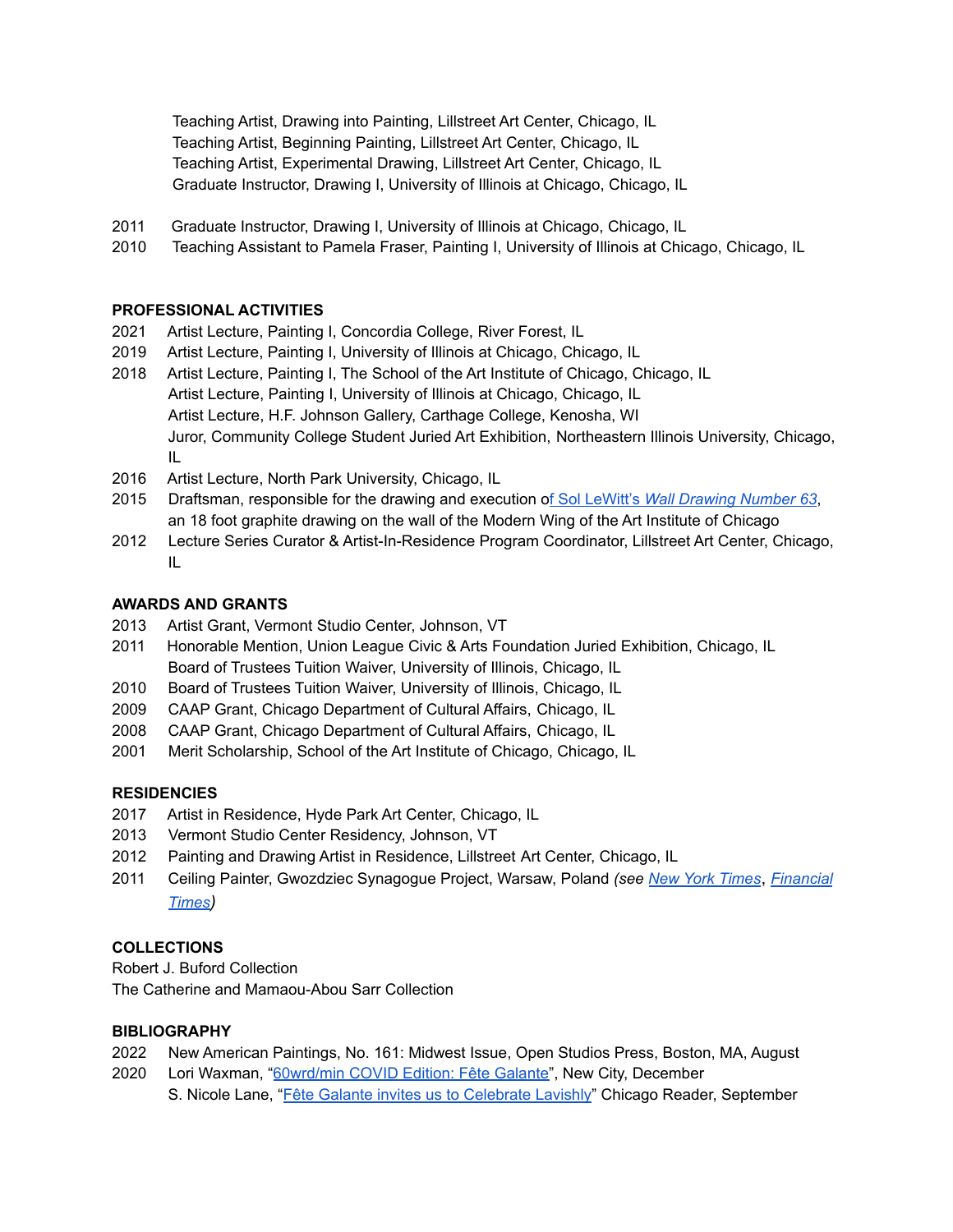Teaching Artist, Drawing into Painting, Lillstreet Art Center, Chicago, IL Teaching Artist, Beginning Painting, Lillstreet Art Center, Chicago, IL Teaching Artist, Experimental Drawing, Lillstreet Art Center, Chicago, IL Graduate Instructor, Drawing I, University of Illinois at Chicago, Chicago, IL

- 2011 Graduate Instructor, Drawing I, University of Illinois at Chicago, Chicago, IL
- 2010 Teaching Assistant to Pamela Fraser, Painting I, University of Illinois at Chicago, Chicago, IL

## **PROFESSIONAL ACTIVITIES**

- 2021 Artist Lecture, Painting I, Concordia College, River Forest, IL
- 2019 Artist Lecture, Painting I, University of Illinois at Chicago, Chicago, IL
- 2018 Artist Lecture, Painting I, The School of the Art Institute of Chicago, Chicago, IL Artist Lecture, Painting I, University of Illinois at Chicago, Chicago, IL Artist Lecture, H.F. Johnson Gallery, Carthage College, Kenosha, WI Juror, Community College Student Juried Art Exhibition, Northeastern Illinois University, Chicago, IL
- 2016 Artist Lecture, North Park University, Chicago, IL
- 2015 Draftsman, responsible for the drawing and execution of Sol LeWitt's *Wall [Drawing](https://fairwhitefrogman.blogspot.com/2015/12/sol-lewitt-wall-drawing-63-at-art.html) Number 63*, an 18 foot graphite drawing on the wall of the Modern Wing of the Art Institute of Chicago
- 2012 Lecture Series Curator & Artist-In-Residence Program Coordinator, Lillstreet Art Center, Chicago, IL

## **AWARDS AND GRANTS**

- 2013 Artist Grant, Vermont Studio Center, Johnson, VT
- 2011 Honorable Mention, Union League Civic & Arts Foundation Juried Exhibition, Chicago, IL Board of Trustees Tuition Waiver, University of Illinois, Chicago, IL
- 2010 Board of Trustees Tuition Waiver, University of Illinois, Chicago, IL
- 2009 CAAP Grant, Chicago Department of Cultural Affairs, Chicago, IL
- 2008 CAAP Grant, Chicago Department of Cultural Affairs, Chicago, IL
- 2001 Merit Scholarship, School of the Art Institute of Chicago, Chicago, IL

## **RESIDENCIES**

- 2017 Artist in Residence, Hyde Park Art Center, Chicago, IL
- 2013 Vermont Studio Center Residency, Johnson, VT
- 2012 Painting and Drawing Artist in Residence, Lillstreet Art Center, Chicago, IL
- 2011 Ceiling Painter, Gwozdziec Synagogue Project, Warsaw, Poland *(see New York [Times](http://www.nytimes.com/2014/10/22/world/europe/warsaw-museum-of-the-history-of-polish-jews.html?_r=0)*, *[Financial](http://www.ft.com/cms/s/0/86f06bbc-5a48-11e4-8771-00144feab7de.html) [Times](http://www.ft.com/cms/s/0/86f06bbc-5a48-11e4-8771-00144feab7de.html))*

## **COLLECTIONS**

Robert J. Buford Collection The Catherine and Mamaou-Abou Sarr Collection

## **BIBLIOGRAPHY**

- 2022 New American Paintings, No. 161: Midwest Issue, Open Studios Press, Boston, MA, August
- 2020 Lori Waxman, "[60wrd/min](https://art.newcity.com/2020/12/11/60wrd-min-covid-edition-cynthia-ohern-dana-melamed-fete-galante/) COVID Edition: Fête Galante", New City, December S. Nicole Lane, "Fête Galante invites us to [Celebrate](https://www.chicagoreader.com/chicago/fete-galante-heaven-gallery/Content?oid=83316817) Lavishly" Chicago Reader, September